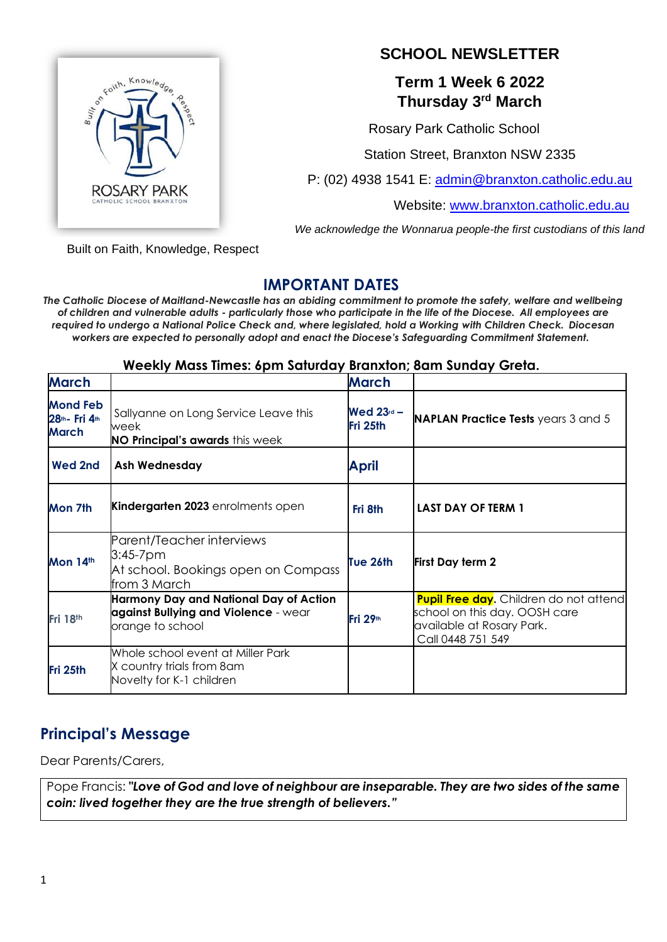

# **SCHOOL NEWSLETTER**

# **Term 1 Week 6 2022 Thursday 3rd March**

Rosary Park Catholic School

Station Street, Branxton NSW 2335

P: (02) 4938 1541 E: [admin@branxton.catholic.edu.au](mailto:admin@branxton.catholic.edu.au)

Website: [www.branxton.catholic.edu.au](http://www.branxton.catholic.edu.au/)

*We acknowledge the Wonnarua people-the first custodians of this land*

Built on Faith, Knowledge, Respect

# **IMPORTANT DATES**

IMPORIANI DAIES<br>The Catholic Diocese of Maitland-Newcastle has an abiding commitment to promote the safety, welfare and wellbeing *of children and vulnerable adults - particularly those who participate in the life of the Diocese. All employees are required to undergo a National Police Check and, where legislated, hold a Working with Children Check. Diocesan workers are expected to personally adopt and enact the Diocese's Safeguarding Commitment Statement.*

## **Weekly Mass Times: 6pm Saturday Branxton; 8am Sunday Greta.**

| <b>March</b>                                      |                                                                                                    | <b>March</b>             |                                                                                                                                  |
|---------------------------------------------------|----------------------------------------------------------------------------------------------------|--------------------------|----------------------------------------------------------------------------------------------------------------------------------|
| <b>Mond Feb</b><br>28th - Fri 4th<br><b>March</b> | Sallyanne on Long Service Leave this<br>week<br><b>NO Principal's awards</b> this week             | Wed $23rd$ –<br>Fri 25th | <b>NAPLAN Practice Tests</b> years 3 and 5                                                                                       |
| Wed 2nd                                           | <b>Ash Wednesday</b>                                                                               | <b>April</b>             |                                                                                                                                  |
| Mon 7th                                           | <b>Kindergarten 2023</b> enrolments open                                                           | Fri 8th                  | LAST DAY OF TERM 1                                                                                                               |
| Mon 14th                                          | Parent/Teacher interviews<br>$3:45 - 7$ pm<br>At school. Bookings open on Compass<br>from 3 March  | Tue 26th                 | <b>First Day term 2</b>                                                                                                          |
| Fri 18th                                          | Harmony Day and National Day of Action<br>against Bullying and Violence - wear<br>orange to school | Fri $29th$               | <b>Pupil Free day.</b> Children do not attend<br>school on this day. OOSH care<br>available at Rosary Park.<br>Call 0448 751 549 |
| Fri 25th                                          | Whole school event at Miller Park<br>X country trials from 8am<br>Novelty for K-1 children         |                          |                                                                                                                                  |

# **Principal's Message**

Dear Parents/Carers,

Pope Francis: "Love of God and love of neighbour are inseparable. They are two sides of the same *coin: lived together they are the true strength of believers."*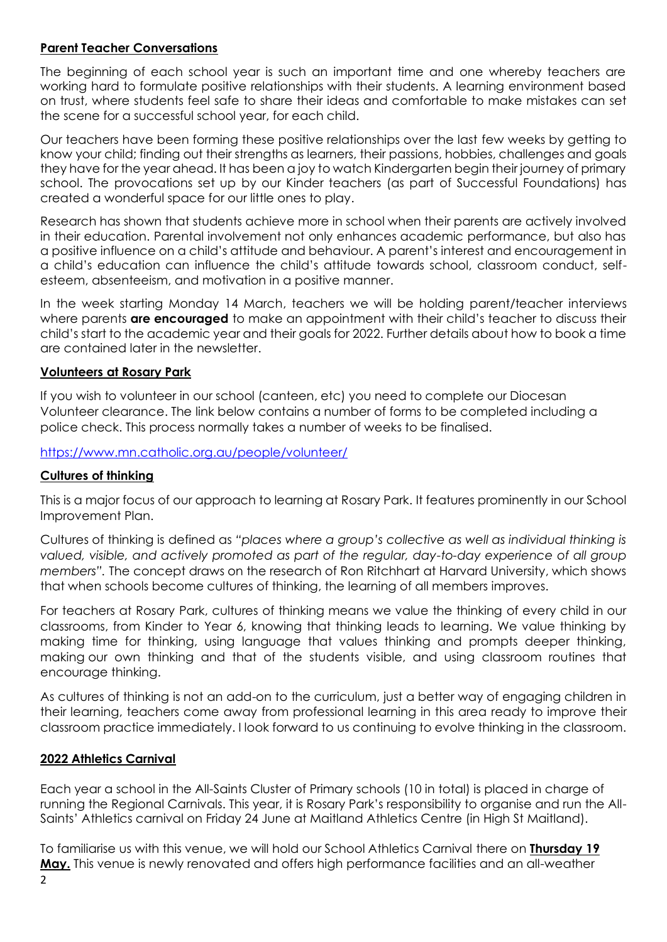### **Parent Teacher Conversations**

The beginning of each school year is such an important time and one whereby teachers are working hard to formulate positive relationships with their students. A learning environment based on trust, where students feel safe to share their ideas and comfortable to make mistakes can set the scene for a successful school year, for each child.

Our teachers have been forming these positive relationships over the last few weeks by getting to know your child; finding out their strengths as learners, their passions, hobbies, challenges and goals they have for the year ahead. It has been a joy to watch Kindergarten begin their journey of primary school. The provocations set up by our Kinder teachers (as part of Successful Foundations) has created a wonderful space for our little ones to play.

Research has shown that students achieve more in school when their parents are actively involved in their education. Parental involvement not only enhances academic performance, but also has a positive influence on a child's attitude and behaviour. A parent's interest and encouragement in a child's education can influence the child's attitude towards school, classroom conduct, selfesteem, absenteeism, and motivation in a positive manner.

In the week starting Monday 14 March, teachers we will be holding parent/teacher interviews where parents **are encouraged** to make an appointment with their child's teacher to discuss their child's start to the academic year and their goals for 2022. Further details about how to book a time are contained later in the newsletter.

### **Volunteers at Rosary Park**

If you wish to volunteer in our school (canteen, etc) you need to complete our Diocesan Volunteer clearance. The link below contains a number of forms to be completed including a police check. This process normally takes a number of weeks to be finalised.

<https://www.mn.catholic.org.au/people/volunteer/>

## **Cultures of thinking**

This is a major focus of our approach to learning at Rosary Park. It features prominently in our School Improvement Plan.

Cultures of thinking is [defined](https://www.pz.harvard.edu/projects/cultures-of-thinking) as *"places where a group's collective as well as individual thinking is valued, visible, and actively promoted as part of the regular, day-to-day experience of all group members".* The concept draws on the research of Ron Ritchhart at Harvard University, which shows that when schools become cultures of thinking, the learning of all members improves.

For teachers at Rosary Park, cultures of thinking means we value the thinking of every child in our classrooms, from Kinder to Year 6, knowing that thinking leads to learning. We value thinking by making time for thinking, using language that values thinking and prompts deeper thinking, making our own thinking and that of the students visible, and using classroom routines that encourage thinking.

As cultures of thinking is not an add-on to the curriculum, just a better way of engaging children in their learning, teachers come away from professional learning in this area ready to improve their classroom practice immediately. I look forward to us continuing to evolve thinking in the classroom.

### **2022 Athletics Carnival**

Each year a school in the All-Saints Cluster of Primary schools (10 in total) is placed in charge of running the Regional Carnivals. This year, it is Rosary Park's responsibility to organise and run the All-Saints' Athletics carnival on Friday 24 June at Maitland Athletics Centre (in High St Maitland).

To familiarise us with this venue, we will hold our School Athletics Carnival there on **Thursday 19 May.** This venue is newly renovated and offers high performance facilities and an all-weather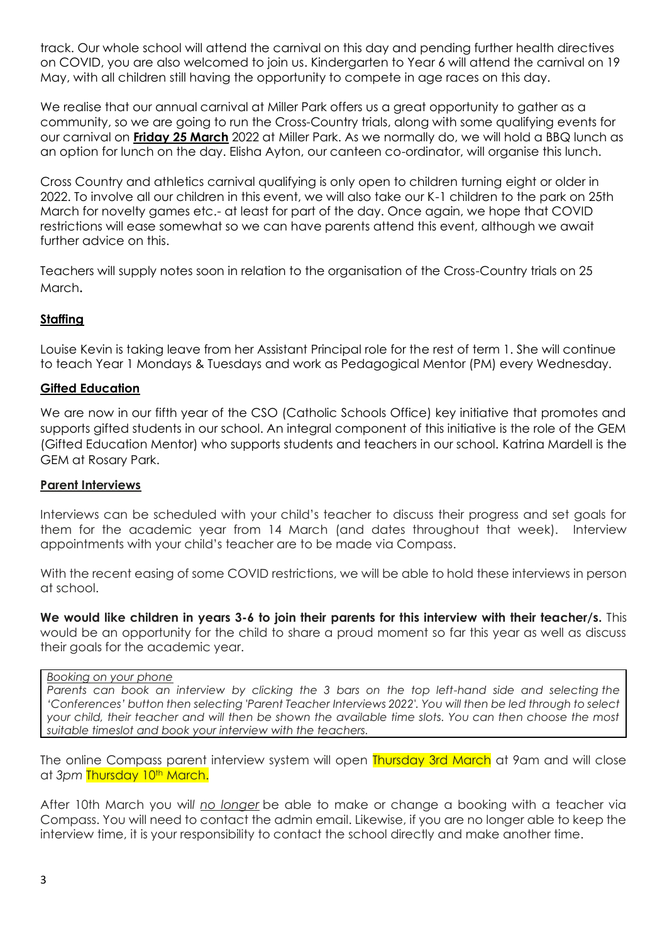track. Our whole school will attend the carnival on this day and pending further health directives on COVID, you are also welcomed to join us. Kindergarten to Year 6 will attend the carnival on 19 May, with all children still having the opportunity to compete in age races on this day.

We realise that our annual carnival at Miller Park offers us a great opportunity to gather as a community, so we are going to run the Cross-Country trials, along with some qualifying events for our carnival on **Friday 25 March** 2022 at Miller Park. As we normally do, we will hold a BBQ lunch as an option for lunch on the day. Elisha Ayton, our canteen co-ordinator, will organise this lunch.

Cross Country and athletics carnival qualifying is only open to children turning eight or older in 2022. To involve all our children in this event, we will also take our K-1 children to the park on 25th March for novelty games etc.- at least for part of the day. Once again, we hope that COVID restrictions will ease somewhat so we can have parents attend this event, although we await further advice on this.

Teachers will supply notes soon in relation to the organisation of the Cross-Country trials on 25 March.

### **Staffing**

Louise Kevin is taking leave from her Assistant Principal role for the rest of term 1. She will continue to teach Year 1 Mondays & Tuesdays and work as Pedagogical Mentor (PM) every Wednesday.

#### **Gifted Education**

We are now in our fifth year of the CSO (Catholic Schools Office) key initiative that promotes and supports gifted students in our school. An integral component of this initiative is the role of the GEM (Gifted Education Mentor) who supports students and teachers in our school. Katrina Mardell is the GEM at Rosary Park.

#### **Parent Interviews**

Interviews can be scheduled with your child's teacher to discuss their progress and set goals for them for the academic year from 14 March (and dates throughout that week). Interview appointments with your child's teacher are to be made via Compass.

With the recent easing of some COVID restrictions, we will be able to hold these interviews in person at school.

**We would like children in years 3-6 to join their parents for this interview with their teacher/s.** This would be an opportunity for the child to share a proud moment so far this year as well as discuss their goals for the academic year.

#### *Booking on your phone*

*Parents can book an interview by clicking the 3 bars on the top left-hand side and selecting the 'Conferences' button then selecting 'Parent Teacher Interviews 2022'. You will then be led through to select your child, their teacher and will then be shown the available time slots. You can then choose the most suitable timeslot and book your interview with the teachers.*

The online Compass parent interview system will open Thursday 3rd March at 9am and will close at 3pm Thursday 10<sup>th</sup> March.

After 10th March you wil*l no longer* be able to make or change a booking with a teacher via Compass. You will need to contact the admin email. Likewise, if you are no longer able to keep the interview time, it is your responsibility to contact the school directly and make another time.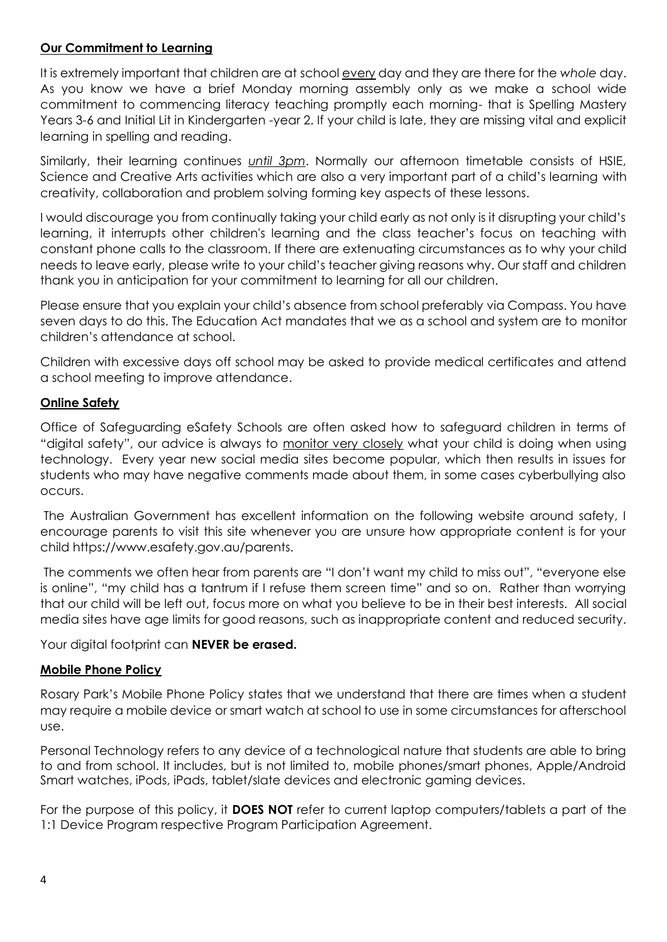### **Our Commitment to Learning**

It is extremely important that children are at school every day and they are there for the *whole* day. As you know we have a brief Monday morning assembly only as we make a school wide commitment to commencing literacy teaching promptly each morning- that is Spelling Mastery Years 3-6 and Initial Lit in Kindergarten -year 2. If your child is late, they are missing vital and explicit learning in spelling and reading.

Similarly, their learning continues *until 3pm*. Normally our afternoon timetable consists of HSIE, Science and Creative Arts activities which are also a very important part of a child's learning with creativity, collaboration and problem solving forming key aspects of these lessons.

I would discourage you from continually taking your child early as not only is it disrupting your child's learning, it interrupts other children's learning and the class teacher's focus on teaching with constant phone calls to the classroom. If there are extenuating circumstances as to why your child needs to leave early, please write to your child's teacher giving reasons why. Our staff and children thank you in anticipation for your commitment to learning for all our children.

Please ensure that you explain your child's absence from school preferably via Compass. You have seven days to do this. The Education Act mandates that we as a school and system are to monitor children's attendance at school.

Children with excessive days off school may be asked to provide medical certificates and attend a school meeting to improve attendance.

### **Online Safety**

Office of Safeguarding eSafety Schools are often asked how to safeguard children in terms of "digital safety", our advice is always to monitor very closely what your child is doing when using technology. Every year new social media sites become popular, which then results in issues for students who may have negative comments made about them, in some cases cyberbullying also occurs.

The Australian Government has excellent information on the following website around safety, I encourage parents to visit this site whenever you are unsure how appropriate content is for your child https://www.esafety.gov.au/parents.

The comments we often hear from parents are "I don't want my child to miss out", "everyone else is online", "my child has a tantrum if I refuse them screen time" and so on. Rather than worrying that our child will be left out, focus more on what you believe to be in their best interests. All social media sites have age limits for good reasons, such as inappropriate content and reduced security.

Your digital footprint can **NEVER be erased.**

### **Mobile Phone Policy**

Rosary Park's Mobile Phone Policy states that we understand that there are times when a student may require a mobile device or smart watch at school to use in some circumstances for afterschool use.

Personal Technology refers to any device of a technological nature that students are able to bring to and from school. It includes, but is not limited to, mobile phones/smart phones, Apple/Android Smart watches, iPods, iPads, tablet/slate devices and electronic gaming devices.

For the purpose of this policy, it **DOES NOT** refer to current laptop computers/tablets a part of the 1:1 Device Program respective Program Participation Agreement.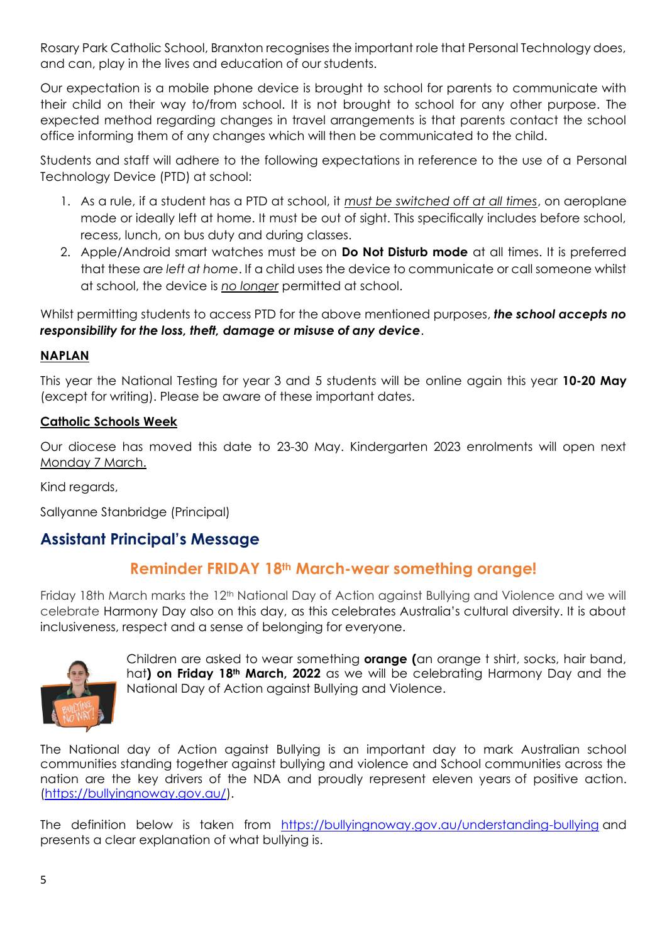Rosary Park Catholic School, Branxton recognises the important role that Personal Technology does, and can, play in the lives and education of our students.

Our expectation is a mobile phone device is brought to school for parents to communicate with their child on their way to/from school. It is not brought to school for any other purpose. The expected method regarding changes in travel arrangements is that parents contact the school office informing them of any changes which will then be communicated to the child.

Students and staff will adhere to the following expectations in reference to the use of a Personal Technology Device (PTD) at school:

- 1. As a rule, if a student has a PTD at school, it *must be switched off at all times*, on aeroplane mode or ideally left at home. It must be out of sight. This specifically includes before school, recess, lunch, on bus duty and during classes.
- 2. Apple/Android smart watches must be on **Do Not Disturb mode** at all times. It is preferred that these *are left at home*. If a child uses the device to communicate or call someone whilst at school, the device is *no longer* permitted at school.

Whilst permitting students to access PTD for the above mentioned purposes, *the school accepts no responsibility for the loss, theft, damage or misuse of any device*.

### **NAPLAN**

This year the National Testing for year 3 and 5 students will be online again this year **10-20 May** (except for writing). Please be aware of these important dates.

### **Catholic Schools Week**

Our diocese has moved this date to 23-30 May. Kindergarten 2023 enrolments will open next Monday 7 March.

Kind regards,

Sallyanne Stanbridge (Principal)

# **Assistant Principal's Message**

# **Reminder FRIDAY 18th March-wear something orange!**

Friday 18th March marks the 12th National Day of Action against Bullying and Violence and we will celebrate Harmony Day also on this day, as this celebrates Australia's cultural diversity. It is about inclusiveness, respect and a sense of belonging for everyone.



Children are asked to wear something **orange (**an orange t shirt, socks, hair band, hat**) on Friday 18th March, 2022** as we will be celebrating Harmony Day and the National Day of Action against Bullying and Violence.

The National day of Action against Bullying is an important day to mark Australian school communities standing together against bullying and violence and School communities across the nation are the key drivers of the NDA and proudly represent eleven years of positive action. [\(https://bullyingnoway.gov.au/\)](https://bullyingnoway.gov.au/).

The definition below is taken from <https://bullyingnoway.gov.au/understanding-bullying> and presents a clear explanation of what bullying is.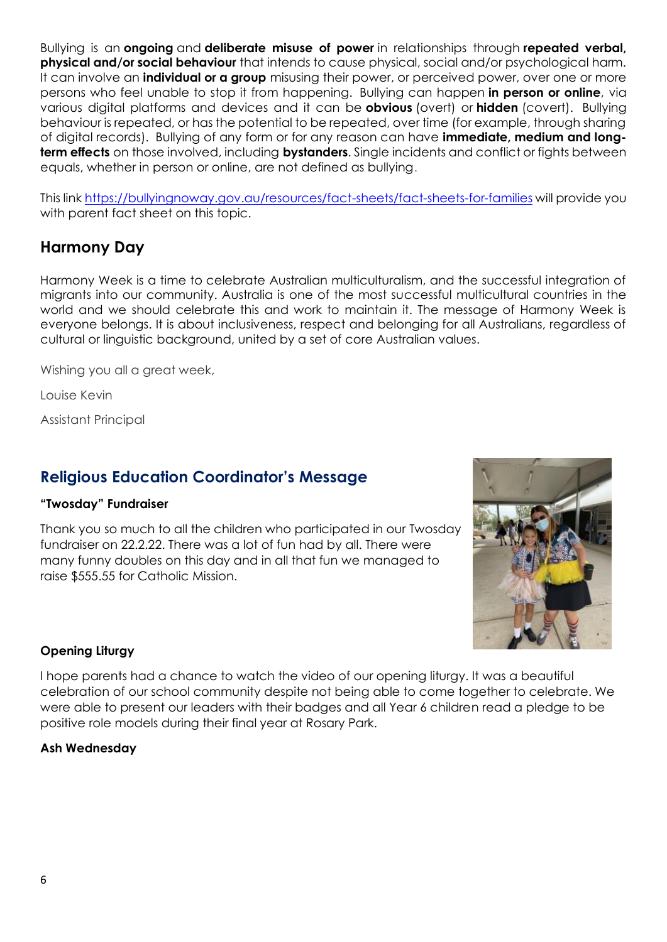Bullying is an **ongoing** and **deliberate misuse of power** in relationships through **repeated verbal, physical and/or social behaviour** that intends to cause physical, social and/or psychological harm. It can involve an **individual or a group** misusing their power, or perceived power, over one or more persons who feel unable to stop it from happening. Bullying can happen **in person or online**, via various digital platforms and devices and it can be **obvious** (overt) or **hidden** (covert). Bullying behaviour is repeated, or has the potential to be repeated, over time (for example, through sharing of digital records). Bullying of any form or for any reason can have **immediate, medium and longterm effects** on those involved, including **bystanders**. Single incidents and conflict or fights between equals, whether in person or online, are not defined as bullying.

This lin[k https://bullyingnoway.gov.au/resources/fact-sheets/fact-sheets-for-families](https://bullyingnoway.gov.au/resources/fact-sheets/fact-sheets-for-families) will provide you with parent fact sheet on this topic.

# **Harmony Day**

Harmony Week is a time to celebrate Australian multiculturalism, and the successful integration of migrants into our community. Australia is one of the most successful multicultural countries in the world and we should celebrate this and work to maintain it. The message of Harmony Week is everyone belongs. It is about inclusiveness, respect and belonging for all Australians, regardless of cultural or linguistic background, united by a set of core Australian values.

Wishing you all a great week,

Louise Kevin

Assistant Principal

# **Religious Education Coordinator's Message**

### **"Twosday" Fundraiser**

Thank you so much to all the children who participated in our Twosday fundraiser on 22.2.22. There was a lot of fun had by all. There were many funny doubles on this day and in all that fun we managed to raise \$555.55 for Catholic Mission.



## **Opening Liturgy**

I hope parents had a chance to watch the video of our opening liturgy. It was a beautiful celebration of our school community despite not being able to come together to celebrate. We were able to present our leaders with their badges and all Year 6 children read a pledge to be positive role models during their final year at Rosary Park.

### **Ash Wednesday**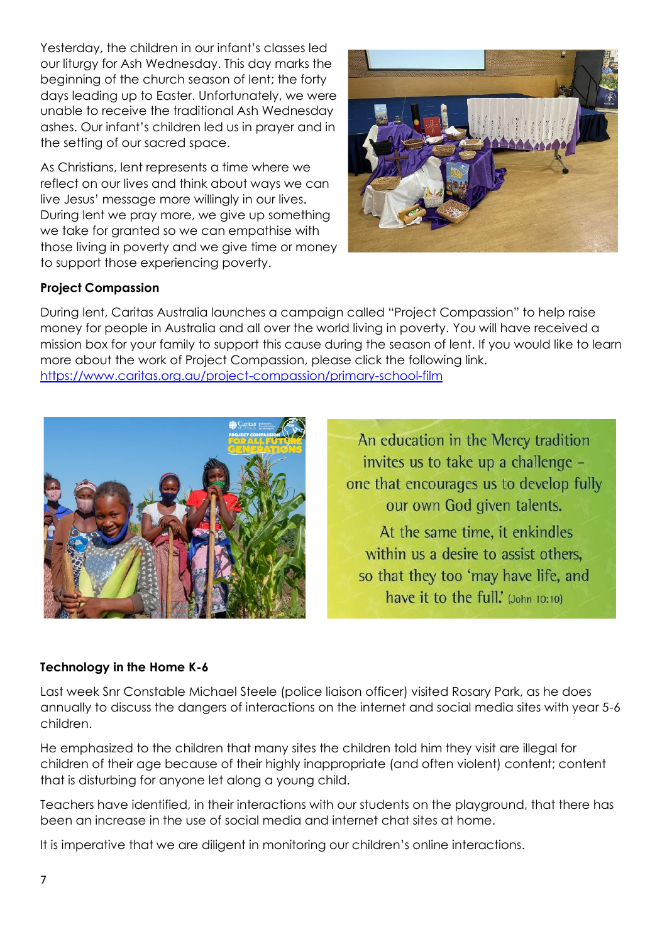Yesterday, the children in our infant's classes led our liturgy for Ash Wednesday. This day marks the beginning of the church season of lent; the forty days leading up to Easter. Unfortunately, we were unable to receive the traditional Ash Wednesday ashes. Our infant's children led us in prayer and in the setting of our sacred space.

As Christians, lent represents a time where we reflect on our lives and think about ways we can live Jesus' message more willingly in our lives. During lent we pray more, we give up something we take for granted so we can empathise with those living in poverty and we give time or money to support those experiencing poverty.



## **Project Compassion**

During lent, Caritas Australia launches a campaign called "Project Compassion" to help raise money for people in Australia and all over the world living in poverty. You will have received a mission box for your family to support this cause during the season of lent. If you would like to learn more about the work of Project Compassion, please click the following link. <https://www.caritas.org.au/project-compassion/primary-school-film>



An education in the Mercy tradition invites us to take up a challenge one that encourages us to develop fully our own God given talents. At the same time, it enkindles within us a desire to assist others. so that they too 'may have life, and have it to the full.' (John 10:10)

## **Technology in the Home K-6**

Last week Snr Constable Michael Steele (police liaison officer) visited Rosary Park, as he does annually to discuss the dangers of interactions on the internet and social media sites with year 5-6 children.

He emphasized to the children that many sites the children told him they visit are illegal for children of their age because of their highly inappropriate (and often violent) content; content that is disturbing for anyone let along a young child.

Teachers have identified, in their interactions with our students on the playground, that there has been an increase in the use of social media and internet chat sites at home.

It is imperative that we are diligent in monitoring our children's online interactions.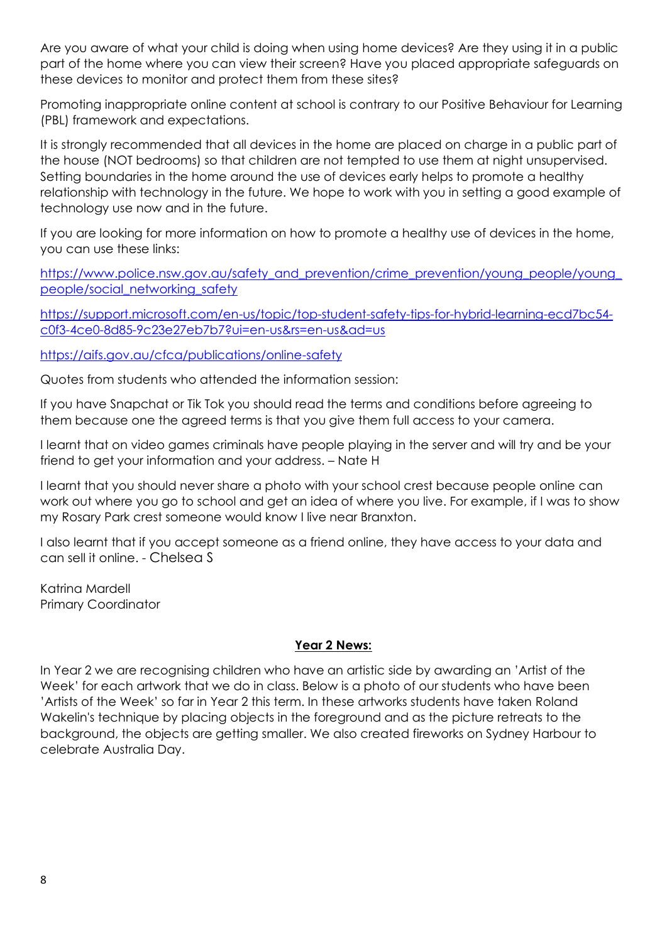Are you aware of what your child is doing when using home devices? Are they using it in a public part of the home where you can view their screen? Have you placed appropriate safeguards on these devices to monitor and protect them from these sites?

Promoting inappropriate online content at school is contrary to our Positive Behaviour for Learning (PBL) framework and expectations.

It is strongly recommended that all devices in the home are placed on charge in a public part of the house (NOT bedrooms) so that children are not tempted to use them at night unsupervised. Setting boundaries in the home around the use of devices early helps to promote a healthy relationship with technology in the future. We hope to work with you in setting a good example of technology use now and in the future.

If you are looking for more information on how to promote a healthy use of devices in the home, you can use these links:

[https://www.police.nsw.gov.au/safety\\_and\\_prevention/crime\\_prevention/young\\_people/young\\_](https://www.police.nsw.gov.au/safety_and_prevention/crime_prevention/young_people/young_people/social_networking_safety) [people/social\\_networking\\_safety](https://www.police.nsw.gov.au/safety_and_prevention/crime_prevention/young_people/young_people/social_networking_safety)

[https://support.microsoft.com/en-us/topic/top-student-safety-tips-for-hybrid-learning-ecd7bc54](https://support.microsoft.com/en-us/topic/top-student-safety-tips-for-hybrid-learning-ecd7bc54-c0f3-4ce0-8d85-9c23e27eb7b7?ui=en-us&rs=en-us&ad=us) [c0f3-4ce0-8d85-9c23e27eb7b7?ui=en-us&rs=en-us&ad=us](https://support.microsoft.com/en-us/topic/top-student-safety-tips-for-hybrid-learning-ecd7bc54-c0f3-4ce0-8d85-9c23e27eb7b7?ui=en-us&rs=en-us&ad=us)

<https://aifs.gov.au/cfca/publications/online-safety>

Quotes from students who attended the information session:

If you have Snapchat or Tik Tok you should read the terms and conditions before agreeing to them because one the agreed terms is that you give them full access to your camera.

I learnt that on video games criminals have people playing in the server and will try and be your friend to get your information and your address. – Nate H

I learnt that you should never share a photo with your school crest because people online can work out where you go to school and get an idea of where you live. For example, if I was to show my Rosary Park crest someone would know I live near Branxton.

I also learnt that if you accept someone as a friend online, they have access to your data and can sell it online. - Chelsea S

Katrina Mardell Primary Coordinator

## **Year 2 News:**

In Year 2 we are recognising children who have an artistic side by awarding an 'Artist of the Week' for each artwork that we do in class. Below is a photo of our students who have been 'Artists of the Week' so far in Year 2 this term. In these artworks students have taken Roland Wakelin's technique by placing objects in the foreground and as the picture retreats to the background, the objects are getting smaller. We also created fireworks on Sydney Harbour to celebrate Australia Day.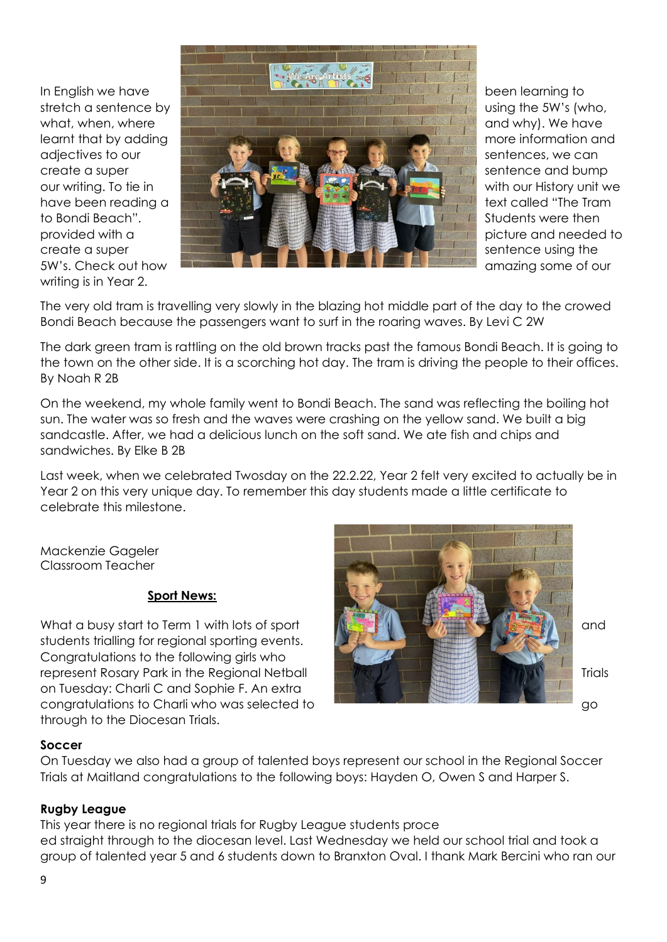writing is in Year 2.



The very old tram is travelling very slowly in the blazing hot middle part of the day to the crowed Bondi Beach because the passengers want to surf in the roaring waves. By Levi C 2W

The dark green tram is rattling on the old brown tracks past the famous Bondi Beach. It is going to the town on the other side. It is a scorching hot day. The tram is driving the people to their offices. By Noah R 2B

On the weekend, my whole family went to Bondi Beach. The sand was reflecting the boiling hot sun. The water was so fresh and the waves were crashing on the yellow sand. We built a big sandcastle. After, we had a delicious lunch on the soft sand. We ate fish and chips and sandwiches. By Elke B 2B

Last week, when we celebrated Twosday on the 22.2.22, Year 2 felt very excited to actually be in Year 2 on this very unique day. To remember this day students made a little certificate to celebrate this milestone.

Mackenzie Gageler Classroom Teacher

## **Sport News:**

students trialling for regional sporting events. Congratulations to the following girls who on Tuesday: Charli C and Sophie F. An extra congratulations to Charli who was selected to go through to the Diocesan Trials.



### **Soccer**

On Tuesday we also had a group of talented boys represent our school in the Regional Soccer Trials at Maitland congratulations to the following boys: Hayden O, Owen S and Harper S.

### **Rugby League**

This year there is no regional trials for Rugby League students proce ed straight through to the diocesan level. Last Wednesday we held our school trial and took a group of talented year 5 and 6 students down to Branxton Oval. I thank Mark Bercini who ran our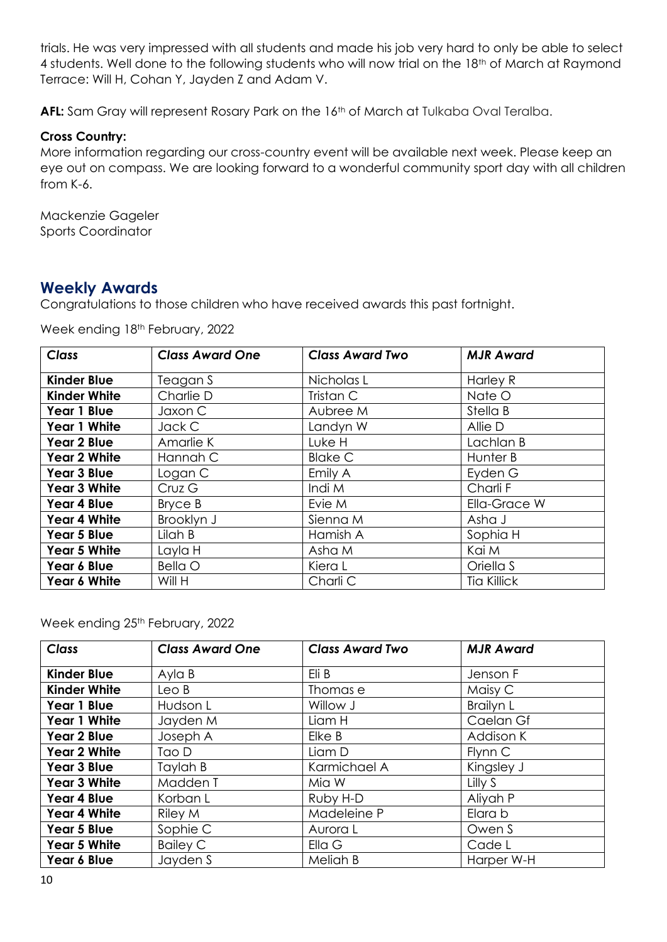trials. He was very impressed with all students and made his job very hard to only be able to select 4 students. Well done to the following students who will now trial on the 18<sup>th</sup> of March at Raymond Terrace: Will H, Cohan Y, Jayden Z and Adam V.

AFL: Sam Gray will represent Rosary Park on the 16<sup>th</sup> of March at Tulkaba Oval Teralba.

#### **Cross Country:**

More information regarding our cross-country event will be available next week. Please keep an eye out on compass. We are looking forward to a wonderful community sport day with all children from K-6.

Mackenzie Gageler Sports Coordinator

## **Weekly Awards**

Congratulations to those children who have received awards this past fortnight.

Week ending 18th February, 2022

| <b>Class</b>        | <b>Class Award One</b> | <b>Class Award Two</b> | <b>MJR Award</b>    |
|---------------------|------------------------|------------------------|---------------------|
| <b>Kinder Blue</b>  | Teagan S               | Nicholas L             | Harley R            |
| <b>Kinder White</b> | Charlie D              | Tristan C              | Nate O              |
| Year 1 Blue         | Jaxon C                | Aubree M               | Stella B            |
| <b>Year 1 White</b> | Jack C                 | Landyn W               | Allie D             |
| Year 2 Blue         | Amarlie K              | Luke H                 | Lachlan B           |
| <b>Year 2 White</b> | Hannah C               | <b>Blake C</b>         | Hunter B            |
| Year 3 Blue         | Logan C                | Emily A                | Eyden G             |
| <b>Year 3 White</b> | Cruz G                 | Indi M                 | Charli F            |
| Year 4 Blue         | Bryce B                | Evie M                 | <b>Ella-Grace W</b> |
| Year 4 White        | Brooklyn J             | Sienna M               | Asha J              |
| Year 5 Blue         | Lilah B                | Hamish A               | Sophia H            |
| <b>Year 5 White</b> | Layla H                | Asha M                 | Kai M               |
| Year 6 Blue         | <b>Bella O</b>         | Kiera L                | Oriella S           |
| Year 6 White        | Will H                 | Charli C               | <b>Tia Killick</b>  |

Week ending 25<sup>th</sup> February, 2022

| <b>Class</b>        | <b>Class Award One</b> | <b>Class Award Two</b> | <b>MJR Award</b> |
|---------------------|------------------------|------------------------|------------------|
| <b>Kinder Blue</b>  | Ayla B                 | Eli B                  | Jenson F         |
| <b>Kinder White</b> | LeoB                   | Thomas e               | Maisy C          |
| Year 1 Blue         | Hudson L               | Willow J               | <b>Brailyn L</b> |
| <b>Year 1 White</b> | Jayden M               | Liam H                 | Caelan Gf        |
| Year 2 Blue         | Joseph A               | Elke B                 | Addison K        |
| <b>Year 2 White</b> | Tao D                  | Liam D                 | Flynn C          |
| <b>Year 3 Blue</b>  | Taylah B               | Karmichael A           | Kingsley J       |
| <b>Year 3 White</b> | Madden T               | Mia W                  | Lilly S          |
| Year 4 Blue         | Korban L               | Ruby H-D               | Aliyah P         |
| <b>Year 4 White</b> | Riley M                | Madeleine P            | Elara b          |
| Year 5 Blue         | Sophie C               | Aurora L               | Owen S           |
| <b>Year 5 White</b> | <b>Bailey C</b>        | Ella G                 | Cade L           |
| Year 6 Blue         | Jayden S               | Meliah B               | Harper W-H       |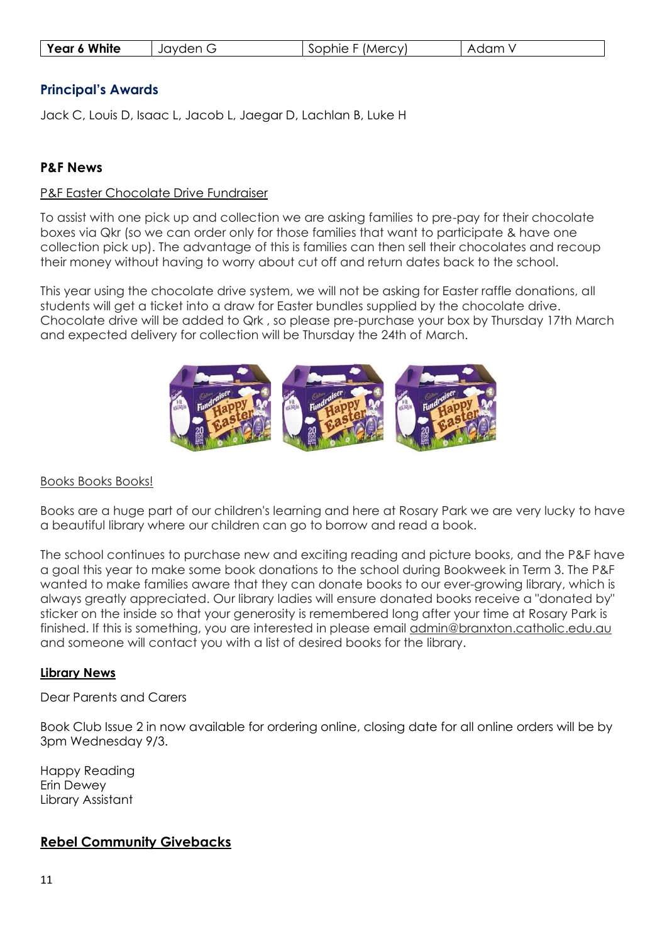| Year 6 White | Jayden G | Sophie F (Mercy) | Adam V |
|--------------|----------|------------------|--------|
|--------------|----------|------------------|--------|

### **Principal's Awards**

Jack C, Louis D, Isaac L, Jacob L, Jaegar D, Lachlan B, Luke H

#### **P&F News**

#### P&F Easter Chocolate Drive Fundraiser

To assist with one pick up and collection we are asking families to pre-pay for their chocolate boxes via Qkr (so we can order only for those families that want to participate & have one collection pick up). The advantage of this is families can then sell their chocolates and recoup their money without having to worry about cut off and return dates back to the school.

This year using the chocolate drive system, we will not be asking for Easter raffle donations, all students will get a ticket into a draw for Easter bundles supplied by the chocolate drive. Chocolate drive will be added to Qrk , so please pre-purchase your box by Thursday 17th March and expected delivery for collection will be Thursday the 24th of March.



#### Books Books!

Books are a huge part of our children's learning and here at Rosary Park we are very lucky to have a beautiful library where our children can go to borrow and read a book.

The school continues to purchase new and exciting reading and picture books, and the P&F have a goal this year to make some book donations to the school during Bookweek in Term 3. The P&F wanted to make families aware that they can donate books to our ever-growing library, which is always greatly appreciated. Our library ladies will ensure donated books receive a "donated by" sticker on the inside so that your generosity is remembered long after your time at Rosary Park is finished. If this is something, you are interested in please email admin@branxton.catholic.edu.au and someone will contact you with a list of desired books for the library.

#### **Library News**

#### Dear Parents and Carers

Book Club Issue 2 in now available for ordering online, closing date for all online orders will be by 3pm Wednesday 9/3.

Happy Reading Erin Dewey Library Assistant

### **Rebel Community Givebacks**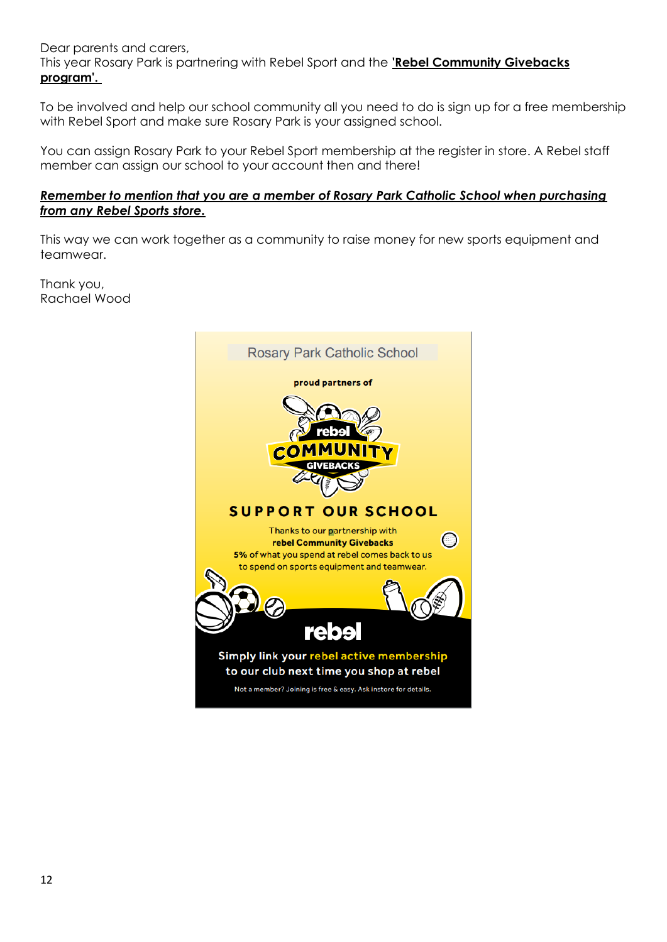Dear parents and carers,

This year Rosary Park is partnering with Rebel Sport and the **'Rebel Community Givebacks program'.**

To be involved and help our school community all you need to do is sign up for a free membership with Rebel Sport and make sure Rosary Park is your assigned school.

You can assign Rosary Park to your Rebel Sport membership at the register in store. A Rebel staff member can assign our school to your account then and there!

#### *Remember to mention that you are a member of Rosary Park Catholic School when purchasing from any Rebel Sports store.*

This way we can work together as a community to raise money for new sports equipment and teamwear.

Thank you, Rachael Wood